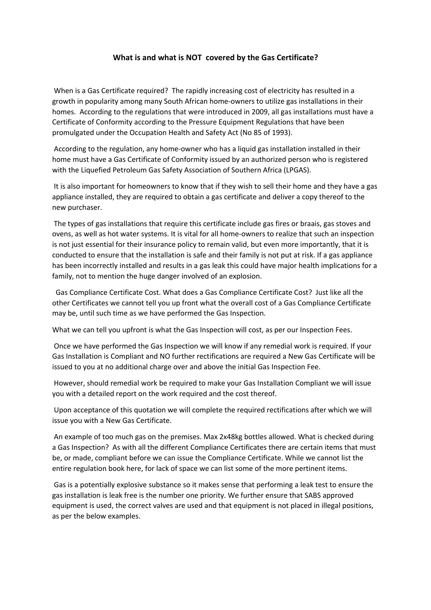## **What is and what is NOT covered by the Gas Certificate?**

When is a Gas Certificate required? The rapidly increasing cost of electricity has resulted in a growth in popularity among many South African home-owners to utilize gas installations in their homes. According to the regulations that were introduced in 2009, all gas installations must have a Certificate of Conformity according to the Pressure Equipment Regulations that have been promulgated under the Occupation Health and Safety Act (No 85 of 1993).

According to the regulation, any home-owner who has a liquid gas installation installed in their home must have a Gas Certificate of Conformity issued by an authorized person who is registered with the Liquefied Petroleum Gas Safety Association of Southern Africa (LPGAS).

It is also important for homeowners to know that if they wish to sell their home and they have a gas appliance installed, they are required to obtain a gas certificate and deliver a copy thereof to the new purchaser.

The types of gas installations that require this certificate include gas fires or braais, gas stoves and ovens, as well as hot water systems. It is vital for all home-owners to realize that such an inspection is not just essential for their insurance policy to remain valid, but even more importantly, that it is conducted to ensure that the installation is safe and their family is not put at risk. If a gas appliance has been incorrectly installed and results in a gas leak this could have major health implications for a family, not to mention the huge danger involved of an explosion.

 Gas Compliance Certificate Cost. What does a Gas Compliance Certificate Cost? Just like all the other Certificates we cannot tell you up front what the overall cost of a Gas Compliance Certificate may be, until such time as we have performed the Gas Inspection.

What we can tell you upfront is what the Gas Inspection will cost, as per our Inspection Fees.

Once we have performed the Gas Inspection we will know if any remedial work is required. If your Gas Installation is Compliant and NO further rectifications are required a New Gas Certificate will be issued to you at no additional charge over and above the initial Gas Inspection Fee.

However, should remedial work be required to make your Gas Installation Compliant we will issue you with a detailed report on the work required and the cost thereof.

Upon acceptance of this quotation we will complete the required rectifications after which we will issue you with a New Gas Certificate.

An example of too much gas on the premises. Max 2x48kg bottles allowed. What is checked during a Gas Inspection? As with all the different Compliance Certificates there are certain items that must be, or made, compliant before we can issue the Compliance Certificate. While we cannot list the entire regulation book here, for lack of space we can list some of the more pertinent items.

Gas is a potentially explosive substance so it makes sense that performing a leak test to ensure the gas installation is leak free is the number one priority. We further ensure that SABS approved equipment is used, the correct valves are used and that equipment is not placed in illegal positions, as per the below examples.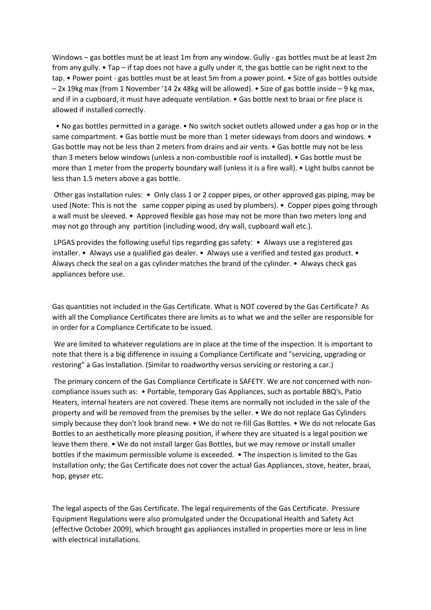Windows – gas bottles must be at least 1m from any window. Gully - gas bottles must be at least 2m from any gully. • Tap – if tap does not have a gully under it, the gas bottle can be right next to the tap. • Power point - gas bottles must be at least 5m from a power point. • Size of gas bottles outside – 2x 19kg max (from 1 November '14 2x 48kg will be allowed). • Size of gas bottle inside – 9 kg max, and if in a cupboard, it must have adequate ventilation. • Gas bottle next to braai or fire place is allowed if installed correctly.

 • No gas bottles permitted in a garage. • No switch socket outlets allowed under a gas hop or in the same compartment. • Gas bottle must be more than 1 meter sideways from doors and windows. • Gas bottle may not be less than 2 meters from drains and air vents. • Gas bottle may not be less than 3 meters below windows (unless a non-combustible roof is installed). • Gas bottle must be more than 1 meter from the property boundary wall (unless it is a fire wall). • Light bulbs cannot be less than 1.5 meters above a gas bottle.

Other gas installation rules: • Only class 1 or 2 copper pipes, or other approved gas piping, may be used (Note: This is not the same copper piping as used by plumbers). • Copper pipes going through a wall must be sleeved. • Approved flexible gas hose may not be more than two meters long and may not go through any partition (including wood, dry wall, cupboard wall etc.).

LPGAS provides the following useful tips regarding gas safety: • Always use a registered gas installer. • Always use a qualified gas dealer. • Always use a verified and tested gas product. • Always check the seal on a gas cylinder matches the brand of the cylinder. • Always check gas appliances before use.

Gas quantities not included in the Gas Certificate. What is NOT covered by the Gas Certificate? As with all the Compliance Certificates there are limits as to what we and the seller are responsible for in order for a Compliance Certificate to be issued.

We are limited to whatever regulations are in place at the time of the inspection. It is important to note that there is a big difference in issuing a Compliance Certificate and "servicing, upgrading or restoring" a Gas Installation. (Similar to roadworthy versus servicing or restoring a car.)

The primary concern of the Gas Compliance Certificate is SAFETY. We are not concerned with noncompliance issues such as: • Portable, temporary Gas Appliances, such as portable BBQ's, Patio Heaters, internal heaters are not covered. These items are normally not included in the sale of the property and will be removed from the premises by the seller. • We do not replace Gas Cylinders simply because they don't look brand new. • We do not re-fill Gas Bottles. • We do not relocate Gas Bottles to an aesthetically more pleasing position, if where they are situated is a legal position we leave them there. • We do not install larger Gas Bottles, but we may remove or install smaller bottles if the maximum permissible volume is exceeded. • The inspection is limited to the Gas Installation only; the Gas Certificate does not cover the actual Gas Appliances, stove, heater, braai, hop, geyser etc.

The legal aspects of the Gas Certificate. The legal requirements of the Gas Certificate. Pressure Equipment Regulations were also promulgated under the Occupational Health and Safety Act (effective October 2009), which brought gas appliances installed in properties more or less in line with electrical installations.